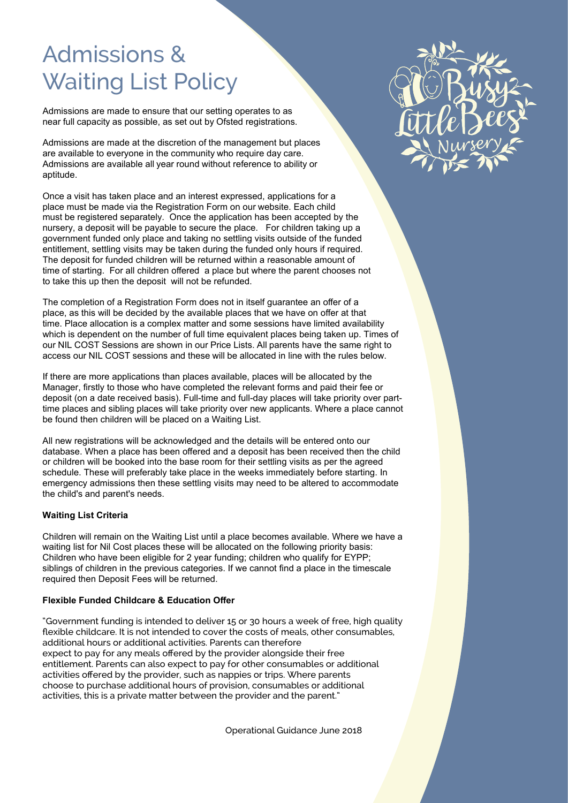## Admissions & Waiting List Policy

Admissions are made to ensure that our setting operates to as near full capacity as possible, as set out by Ofsted registrations.

Admissions are made at the discretion of the management but places are available to everyone in the community who require day care. Admissions are available all year round without reference to ability or aptitude.

Once a visit has taken place and an interest expressed, applications for a place must be made via the Registration Form on our website. Each child must be registered separately. Once the application has been accepted by the nursery, a deposit will be payable to secure the place. For children taking up a government funded only place and taking no settling visits outside of the funded entitlement, settling visits may be taken during the funded only hours if required. The deposit for funded children will be returned within a reasonable amount of time of starting. For all children offered a place but where the parent chooses not to take this up then the deposit will not be refunded.

The completion of a Registration Form does not in itself guarantee an offer of a place, as this will be decided by the available places that we have on offer at that time. Place allocation is a complex matter and some sessions have limited availability which is dependent on the number of full time equivalent places being taken up. Times of our NIL COST Sessions are shown in our Price Lists. All parents have the same right to access our NIL COST sessions and these will be allocated in line with the rules below.

If there are more applications than places available, places will be allocated by the Manager, firstly to those who have completed the relevant forms and paid their fee or deposit (on a date received basis). Full-time and full-day places will take priority over parttime places and sibling places will take priority over new applicants. Where a place cannot be found then children will be placed on a Waiting List.

All new registrations will be acknowledged and the details will be entered onto our database. When a place has been offered and a deposit has been received then the child or children will be booked into the base room for their settling visits as per the agreed schedule. These will preferably take place in the weeks immediately before starting. In emergency admissions then these settling visits may need to be altered to accommodate the child's and parent's needs.

## **Waiting List Criteria**

Children will remain on the Waiting List until a place becomes available. Where we have a waiting list for Nil Cost places these will be allocated on the following priority basis: Children who have been eligible for 2 year funding; children who qualify for EYPP; siblings of children in the previous categories. If we cannot find a place in the timescale required then Deposit Fees will be returned.

## **Flexible Funded Childcare & Education Offer**

"Government funding is intended to deliver 15 or 30 hours a week of free, high quality flexible childcare. It is not intended to cover the costs of meals, other consumables, additional hours or additional activities. Parents can therefore expect to pay for any meals offered by the provider alongside their free entitlement. Parents can also expect to pay for other consumables or additional activities offered by the provider, such as nappies or trips. Where parents choose to purchase additional hours of provision, consumables or additional activities, this is a private matter between the provider and the parent."

Operational Guidance June 2018